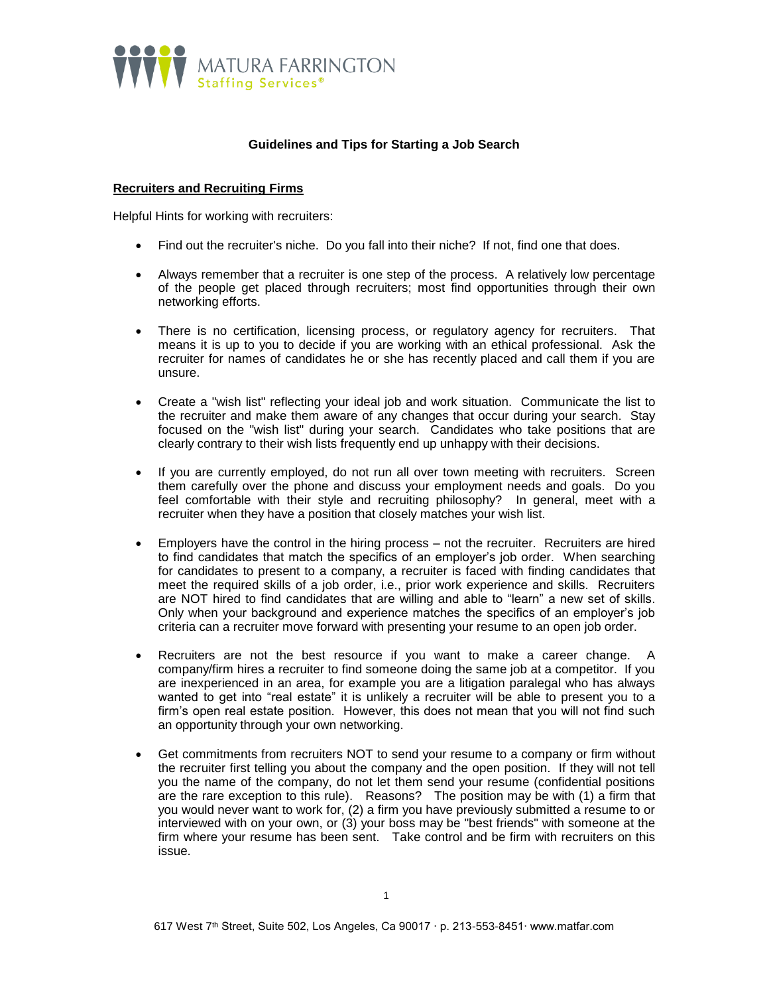

# **Guidelines and Tips for Starting a Job Search**

#### **Recruiters and Recruiting Firms**

Helpful Hints for working with recruiters:

- Find out the recruiter's niche. Do you fall into their niche? If not, find one that does.
- Always remember that a recruiter is one step of the process. A relatively low percentage of the people get placed through recruiters; most find opportunities through their own networking efforts.
- There is no certification, licensing process, or regulatory agency for recruiters. That means it is up to you to decide if you are working with an ethical professional. Ask the recruiter for names of candidates he or she has recently placed and call them if you are unsure.
- Create a "wish list" reflecting your ideal job and work situation. Communicate the list to the recruiter and make them aware of any changes that occur during your search. Stay focused on the "wish list" during your search. Candidates who take positions that are clearly contrary to their wish lists frequently end up unhappy with their decisions.
- If you are currently employed, do not run all over town meeting with recruiters. Screen them carefully over the phone and discuss your employment needs and goals. Do you feel comfortable with their style and recruiting philosophy? In general, meet with a recruiter when they have a position that closely matches your wish list.
- Employers have the control in the hiring process not the recruiter. Recruiters are hired to find candidates that match the specifics of an employer's job order. When searching for candidates to present to a company, a recruiter is faced with finding candidates that meet the required skills of a job order, i.e., prior work experience and skills. Recruiters are NOT hired to find candidates that are willing and able to "learn" a new set of skills. Only when your background and experience matches the specifics of an employer's job criteria can a recruiter move forward with presenting your resume to an open job order.
- Recruiters are not the best resource if you want to make a career change. A company/firm hires a recruiter to find someone doing the same job at a competitor. If you are inexperienced in an area, for example you are a litigation paralegal who has always wanted to get into "real estate" it is unlikely a recruiter will be able to present you to a firm's open real estate position. However, this does not mean that you will not find such an opportunity through your own networking.
- Get commitments from recruiters NOT to send your resume to a company or firm without the recruiter first telling you about the company and the open position. If they will not tell you the name of the company, do not let them send your resume (confidential positions are the rare exception to this rule). Reasons? The position may be with (1) a firm that you would never want to work for, (2) a firm you have previously submitted a resume to or interviewed with on your own, or (3) your boss may be "best friends" with someone at the firm where your resume has been sent. Take control and be firm with recruiters on this issue.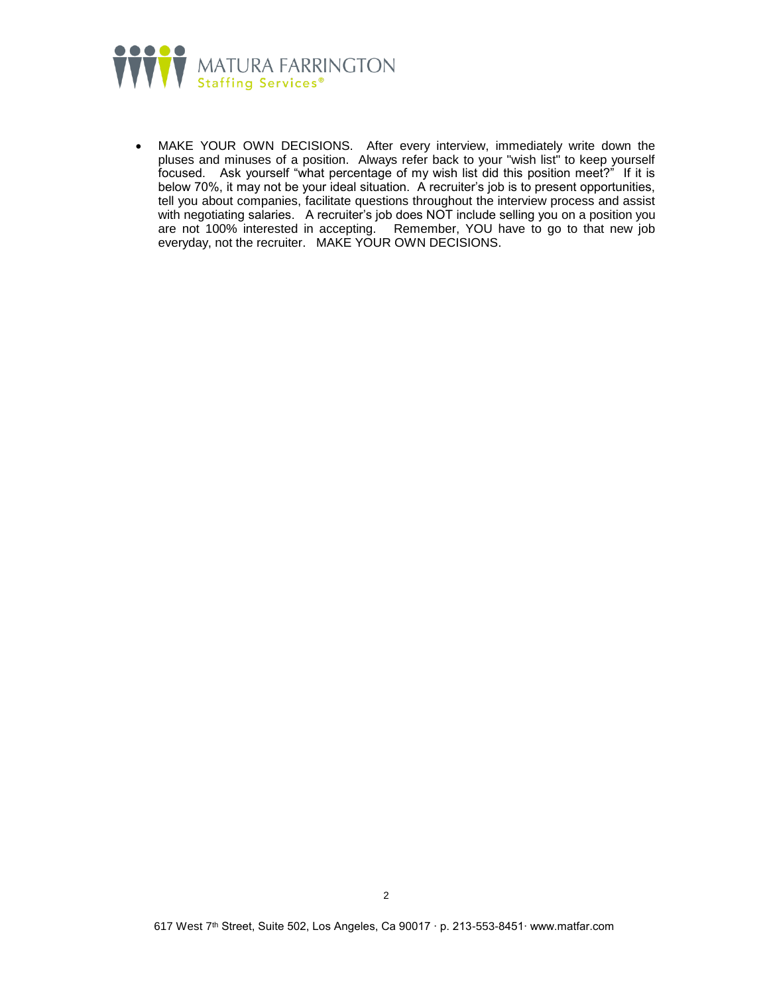

 MAKE YOUR OWN DECISIONS. After every interview, immediately write down the pluses and minuses of a position. Always refer back to your "wish list" to keep yourself focused. Ask yourself "what percentage of my wish list did this position meet?" If it is below 70%, it may not be your ideal situation. A recruiter's job is to present opportunities, tell you about companies, facilitate questions throughout the interview process and assist with negotiating salaries. A recruiter's job does NOT include selling you on a position you are not 100% interested in accepting. Remember, YOU have to go to that new job everyday, not the recruiter. MAKE YOUR OWN DECISIONS.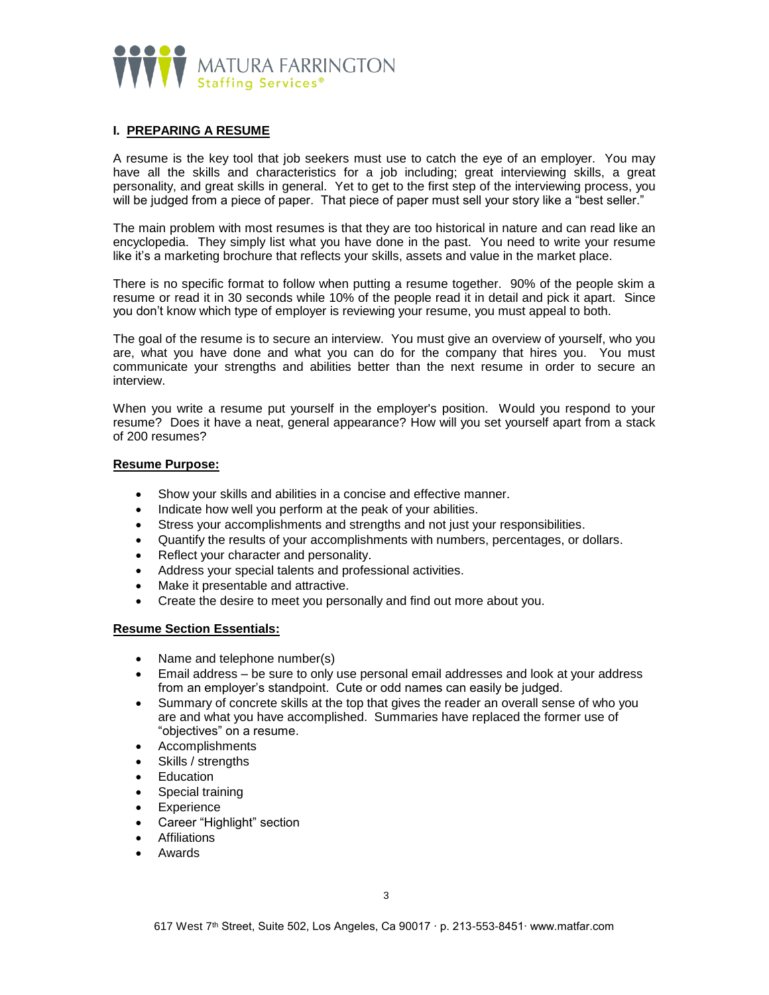

# **I. PREPARING A RESUME**

A resume is the key tool that job seekers must use to catch the eye of an employer. You may have all the skills and characteristics for a job including; great interviewing skills, a great personality, and great skills in general. Yet to get to the first step of the interviewing process, you will be judged from a piece of paper. That piece of paper must sell your story like a "best seller."

The main problem with most resumes is that they are too historical in nature and can read like an encyclopedia. They simply list what you have done in the past. You need to write your resume like it's a marketing brochure that reflects your skills, assets and value in the market place.

There is no specific format to follow when putting a resume together. 90% of the people skim a resume or read it in 30 seconds while 10% of the people read it in detail and pick it apart. Since you don't know which type of employer is reviewing your resume, you must appeal to both.

The goal of the resume is to secure an interview. You must give an overview of yourself, who you are, what you have done and what you can do for the company that hires you. You must communicate your strengths and abilities better than the next resume in order to secure an interview.

When you write a resume put yourself in the employer's position. Would you respond to your resume? Does it have a neat, general appearance? How will you set yourself apart from a stack of 200 resumes?

#### **Resume Purpose:**

- Show your skills and abilities in a concise and effective manner.
- Indicate how well you perform at the peak of your abilities.
- Stress your accomplishments and strengths and not just your responsibilities.
- Quantify the results of your accomplishments with numbers, percentages, or dollars.
- Reflect your character and personality.
- Address your special talents and professional activities.
- Make it presentable and attractive.
- Create the desire to meet you personally and find out more about you.

# **Resume Section Essentials:**

- Name and telephone number(s)
- Email address be sure to only use personal email addresses and look at your address from an employer's standpoint. Cute or odd names can easily be judged.
- Summary of concrete skills at the top that gives the reader an overall sense of who you are and what you have accomplished. Summaries have replaced the former use of "objectives" on a resume.
- Accomplishments
- Skills / strengths
- Education
- Special training
- **Experience**
- Career "Highlight" section
- Affiliations
- Awards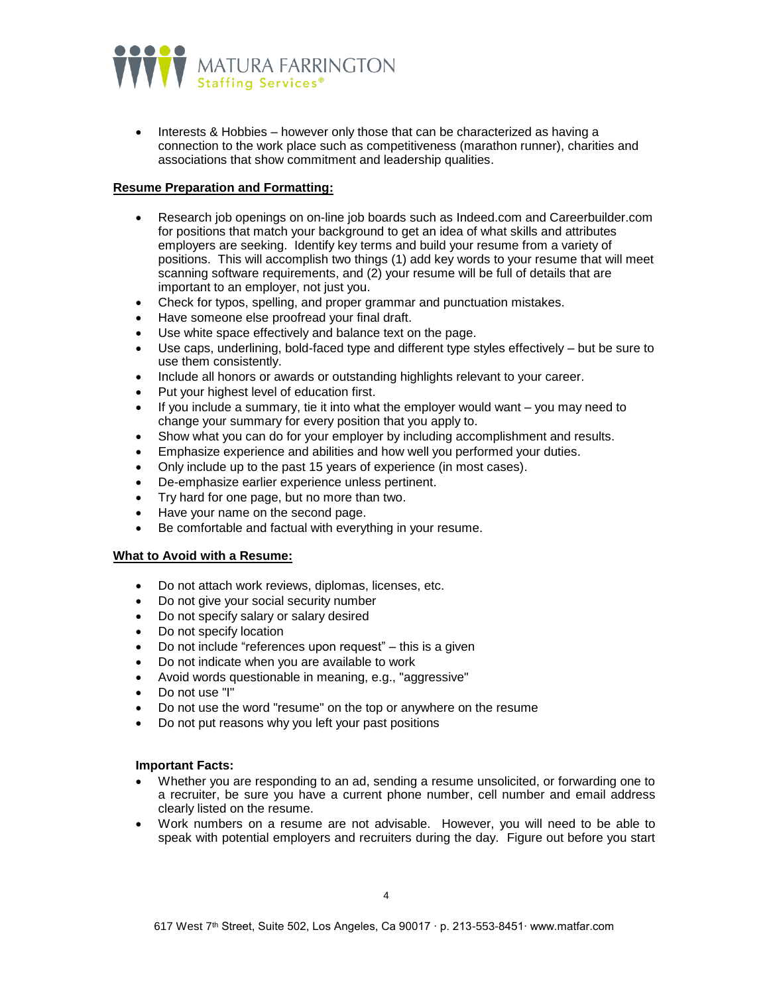

 Interests & Hobbies – however only those that can be characterized as having a connection to the work place such as competitiveness (marathon runner), charities and associations that show commitment and leadership qualities.

### **Resume Preparation and Formatting:**

- Research job openings on on-line job boards such as Indeed.com and Careerbuilder.com for positions that match your background to get an idea of what skills and attributes employers are seeking. Identify key terms and build your resume from a variety of positions. This will accomplish two things (1) add key words to your resume that will meet scanning software requirements, and (2) your resume will be full of details that are important to an employer, not just you.
- Check for typos, spelling, and proper grammar and punctuation mistakes.
- Have someone else proofread your final draft.
- Use white space effectively and balance text on the page.
- Use caps, underlining, bold-faced type and different type styles effectively but be sure to use them consistently.
- Include all honors or awards or outstanding highlights relevant to your career.
- Put your highest level of education first.
- If you include a summary, tie it into what the employer would want you may need to change your summary for every position that you apply to.
- Show what you can do for your employer by including accomplishment and results.
- Emphasize experience and abilities and how well you performed your duties.
- Only include up to the past 15 years of experience (in most cases).
- De-emphasize earlier experience unless pertinent.
- Try hard for one page, but no more than two.
- Have your name on the second page.
- Be comfortable and factual with everything in your resume.

### **What to Avoid with a Resume:**

- Do not attach work reviews, diplomas, licenses, etc.
- Do not give your social security number
- Do not specify salary or salary desired
- Do not specify location
- Do not include "references upon request" this is a given
- Do not indicate when you are available to work
- Avoid words questionable in meaning, e.g., "aggressive"
- Do not use "I"
- Do not use the word "resume" on the top or anywhere on the resume
- Do not put reasons why you left your past positions

### **Important Facts:**

- Whether you are responding to an ad, sending a resume unsolicited, or forwarding one to a recruiter, be sure you have a current phone number, cell number and email address clearly listed on the resume.
- Work numbers on a resume are not advisable. However, you will need to be able to speak with potential employers and recruiters during the day. Figure out before you start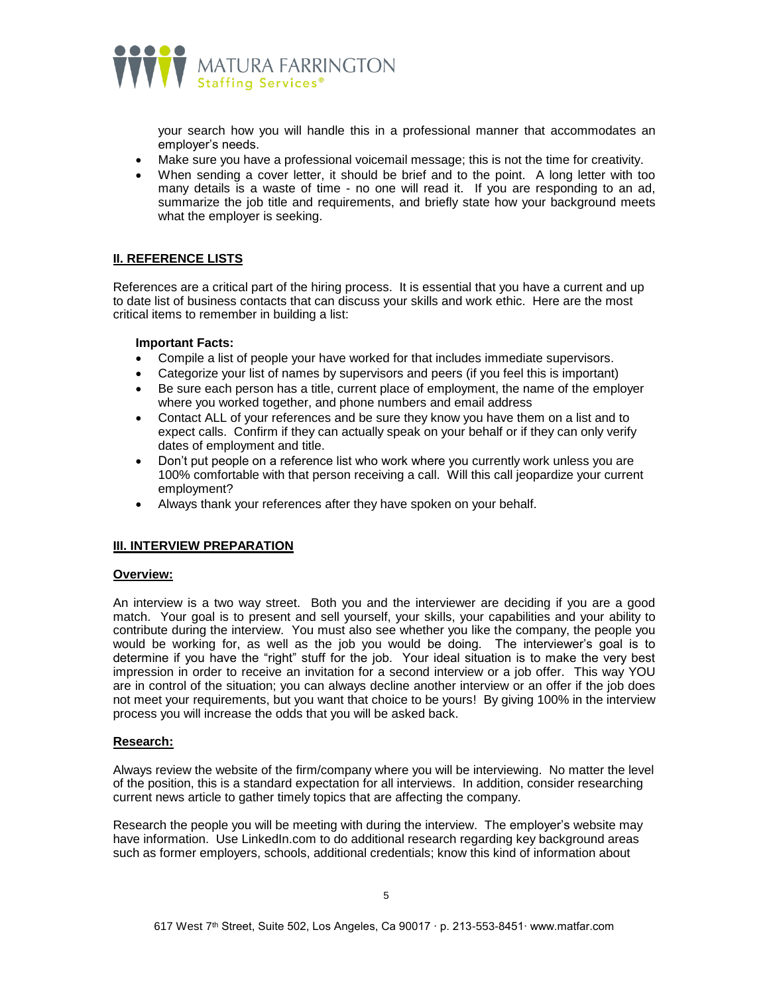

your search how you will handle this in a professional manner that accommodates an employer's needs.

- Make sure you have a professional voicemail message; this is not the time for creativity.
- When sending a cover letter, it should be brief and to the point. A long letter with too many details is a waste of time - no one will read it. If you are responding to an ad, summarize the job title and requirements, and briefly state how your background meets what the employer is seeking.

# **II. REFERENCE LISTS**

References are a critical part of the hiring process. It is essential that you have a current and up to date list of business contacts that can discuss your skills and work ethic. Here are the most critical items to remember in building a list:

#### **Important Facts:**

- Compile a list of people your have worked for that includes immediate supervisors.
- Categorize your list of names by supervisors and peers (if you feel this is important)
- Be sure each person has a title, current place of employment, the name of the employer where you worked together, and phone numbers and email address
- Contact ALL of your references and be sure they know you have them on a list and to expect calls. Confirm if they can actually speak on your behalf or if they can only verify dates of employment and title.
- Don't put people on a reference list who work where you currently work unless you are 100% comfortable with that person receiving a call. Will this call jeopardize your current employment?
- Always thank your references after they have spoken on your behalf.

### **III. INTERVIEW PREPARATION**

#### **Overview:**

An interview is a two way street. Both you and the interviewer are deciding if you are a good match. Your goal is to present and sell yourself, your skills, your capabilities and your ability to contribute during the interview. You must also see whether you like the company, the people you would be working for, as well as the job you would be doing. The interviewer's goal is to determine if you have the "right" stuff for the job. Your ideal situation is to make the very best impression in order to receive an invitation for a second interview or a job offer. This way YOU are in control of the situation; you can always decline another interview or an offer if the job does not meet your requirements, but you want that choice to be yours! By giving 100% in the interview process you will increase the odds that you will be asked back.

#### **Research:**

Always review the website of the firm/company where you will be interviewing. No matter the level of the position, this is a standard expectation for all interviews. In addition, consider researching current news article to gather timely topics that are affecting the company.

Research the people you will be meeting with during the interview. The employer's website may have information. Use LinkedIn.com to do additional research regarding key background areas such as former employers, schools, additional credentials; know this kind of information about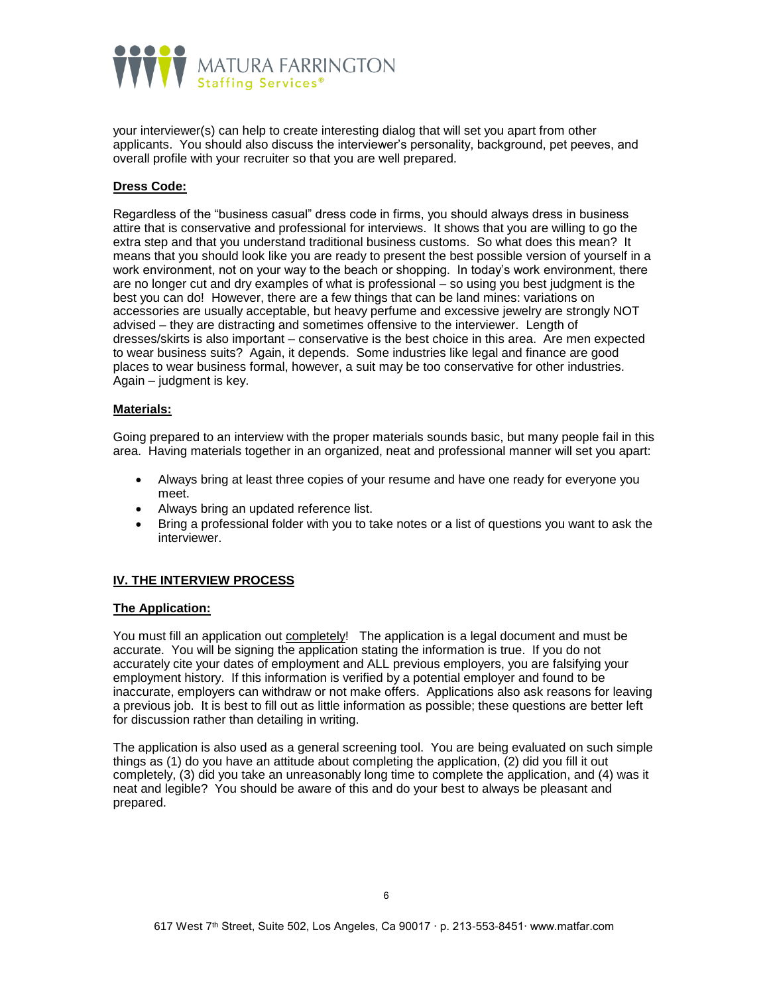

your interviewer(s) can help to create interesting dialog that will set you apart from other applicants. You should also discuss the interviewer's personality, background, pet peeves, and overall profile with your recruiter so that you are well prepared.

# **Dress Code:**

Regardless of the "business casual" dress code in firms, you should always dress in business attire that is conservative and professional for interviews. It shows that you are willing to go the extra step and that you understand traditional business customs. So what does this mean? It means that you should look like you are ready to present the best possible version of yourself in a work environment, not on your way to the beach or shopping. In today's work environment, there are no longer cut and dry examples of what is professional – so using you best judgment is the best you can do! However, there are a few things that can be land mines: variations on accessories are usually acceptable, but heavy perfume and excessive jewelry are strongly NOT advised – they are distracting and sometimes offensive to the interviewer. Length of dresses/skirts is also important – conservative is the best choice in this area. Are men expected to wear business suits? Again, it depends. Some industries like legal and finance are good places to wear business formal, however, a suit may be too conservative for other industries. Again – judgment is key.

#### **Materials:**

Going prepared to an interview with the proper materials sounds basic, but many people fail in this area. Having materials together in an organized, neat and professional manner will set you apart:

- Always bring at least three copies of your resume and have one ready for everyone you meet.
- Always bring an updated reference list.
- Bring a professional folder with you to take notes or a list of questions you want to ask the interviewer.

### **IV. THE INTERVIEW PROCESS**

### **The Application:**

You must fill an application out completely! The application is a legal document and must be accurate. You will be signing the application stating the information is true. If you do not accurately cite your dates of employment and ALL previous employers, you are falsifying your employment history. If this information is verified by a potential employer and found to be inaccurate, employers can withdraw or not make offers. Applications also ask reasons for leaving a previous job. It is best to fill out as little information as possible; these questions are better left for discussion rather than detailing in writing.

The application is also used as a general screening tool. You are being evaluated on such simple things as (1) do you have an attitude about completing the application, (2) did you fill it out completely, (3) did you take an unreasonably long time to complete the application, and (4) was it neat and legible? You should be aware of this and do your best to always be pleasant and prepared.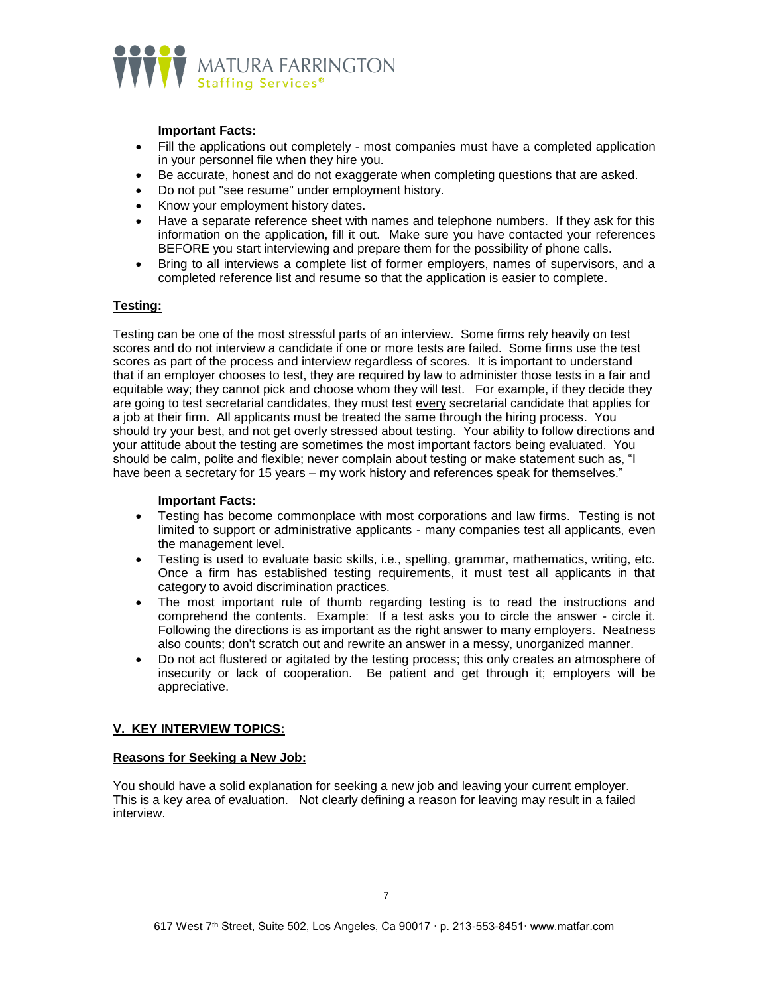

#### **Important Facts:**

- Fill the applications out completely most companies must have a completed application in your personnel file when they hire you.
- Be accurate, honest and do not exaggerate when completing questions that are asked.
- Do not put "see resume" under employment history.
- Know your employment history dates.
- Have a separate reference sheet with names and telephone numbers. If they ask for this information on the application, fill it out. Make sure you have contacted your references BEFORE you start interviewing and prepare them for the possibility of phone calls.
- Bring to all interviews a complete list of former employers, names of supervisors, and a completed reference list and resume so that the application is easier to complete.

### **Testing:**

Testing can be one of the most stressful parts of an interview. Some firms rely heavily on test scores and do not interview a candidate if one or more tests are failed. Some firms use the test scores as part of the process and interview regardless of scores. It is important to understand that if an employer chooses to test, they are required by law to administer those tests in a fair and equitable way; they cannot pick and choose whom they will test. For example, if they decide they are going to test secretarial candidates, they must test every secretarial candidate that applies for a job at their firm. All applicants must be treated the same through the hiring process. You should try your best, and not get overly stressed about testing. Your ability to follow directions and your attitude about the testing are sometimes the most important factors being evaluated. You should be calm, polite and flexible; never complain about testing or make statement such as, "I have been a secretary for 15 years – my work history and references speak for themselves."

#### **Important Facts:**

- Testing has become commonplace with most corporations and law firms. Testing is not limited to support or administrative applicants - many companies test all applicants, even the management level.
- Testing is used to evaluate basic skills, i.e., spelling, grammar, mathematics, writing, etc. Once a firm has established testing requirements, it must test all applicants in that category to avoid discrimination practices.
- The most important rule of thumb regarding testing is to read the instructions and comprehend the contents. Example: If a test asks you to circle the answer - circle it. Following the directions is as important as the right answer to many employers. Neatness also counts; don't scratch out and rewrite an answer in a messy, unorganized manner.
- Do not act flustered or agitated by the testing process; this only creates an atmosphere of insecurity or lack of cooperation. Be patient and get through it; employers will be appreciative.

### **V. KEY INTERVIEW TOPICS:**

#### **Reasons for Seeking a New Job:**

You should have a solid explanation for seeking a new job and leaving your current employer. This is a key area of evaluation. Not clearly defining a reason for leaving may result in a failed interview.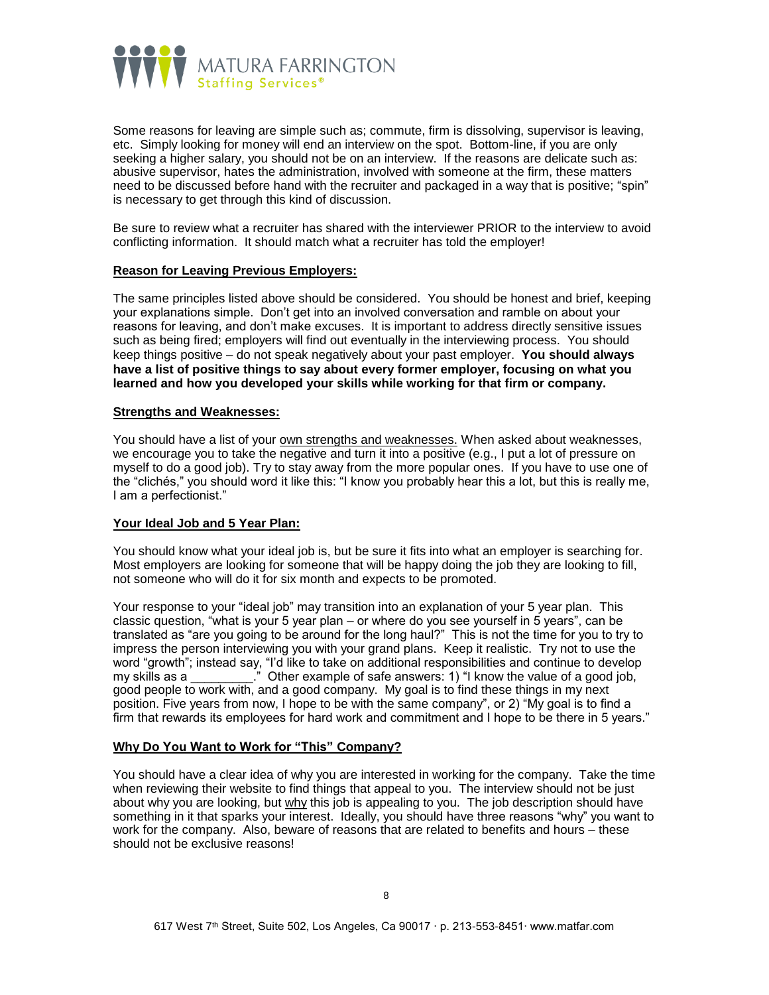

Some reasons for leaving are simple such as; commute, firm is dissolving, supervisor is leaving, etc. Simply looking for money will end an interview on the spot. Bottom-line, if you are only seeking a higher salary, you should not be on an interview. If the reasons are delicate such as: abusive supervisor, hates the administration, involved with someone at the firm, these matters need to be discussed before hand with the recruiter and packaged in a way that is positive; "spin" is necessary to get through this kind of discussion.

Be sure to review what a recruiter has shared with the interviewer PRIOR to the interview to avoid conflicting information. It should match what a recruiter has told the employer!

#### **Reason for Leaving Previous Employers:**

The same principles listed above should be considered. You should be honest and brief, keeping your explanations simple. Don't get into an involved conversation and ramble on about your reasons for leaving, and don't make excuses. It is important to address directly sensitive issues such as being fired; employers will find out eventually in the interviewing process. You should keep things positive – do not speak negatively about your past employer. **You should always have a list of positive things to say about every former employer, focusing on what you learned and how you developed your skills while working for that firm or company.**

#### **Strengths and Weaknesses:**

You should have a list of your own strengths and weaknesses. When asked about weaknesses, we encourage you to take the negative and turn it into a positive (e.g., I put a lot of pressure on myself to do a good job). Try to stay away from the more popular ones. If you have to use one of the "clichés," you should word it like this: "I know you probably hear this a lot, but this is really me, I am a perfectionist."

#### **Your Ideal Job and 5 Year Plan:**

You should know what your ideal job is, but be sure it fits into what an employer is searching for. Most employers are looking for someone that will be happy doing the job they are looking to fill, not someone who will do it for six month and expects to be promoted.

Your response to your "ideal job" may transition into an explanation of your 5 year plan. This classic question, "what is your 5 year plan – or where do you see yourself in 5 years", can be translated as "are you going to be around for the long haul?" This is not the time for you to try to impress the person interviewing you with your grand plans. Keep it realistic. Try not to use the word "growth"; instead say, "I'd like to take on additional responsibilities and continue to develop mental growth, increased out, it a line to take our additional responsibilities and continue to develop my skills as a \_\_\_\_\_\_\_\_\_." Other example of safe answers: 1) "I know the value of a good job, good people to work with, and a good company. My goal is to find these things in my next position. Five years from now, I hope to be with the same company", or 2) "My goal is to find a firm that rewards its employees for hard work and commitment and I hope to be there in 5 years."

#### **Why Do You Want to Work for "This" Company?**

You should have a clear idea of why you are interested in working for the company. Take the time when reviewing their website to find things that appeal to you. The interview should not be just about why you are looking, but why this job is appealing to you. The job description should have something in it that sparks your interest. Ideally, you should have three reasons "why" you want to work for the company. Also, beware of reasons that are related to benefits and hours – these should not be exclusive reasons!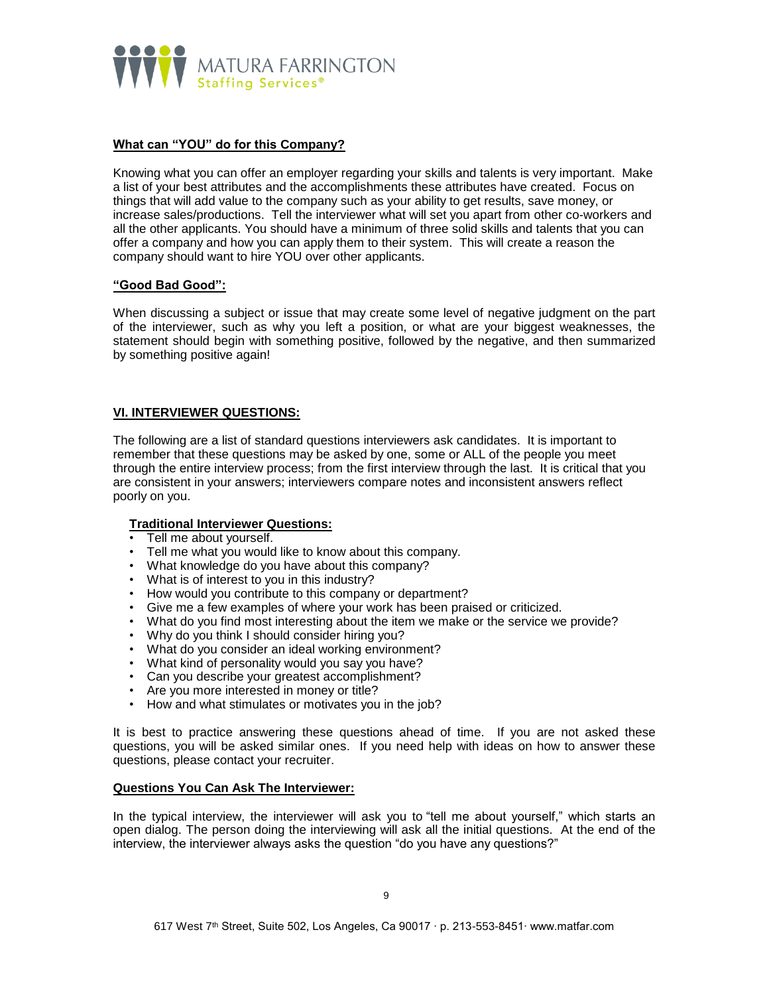

# **What can "YOU" do for this Company?**

Knowing what you can offer an employer regarding your skills and talents is very important. Make a list of your best attributes and the accomplishments these attributes have created. Focus on things that will add value to the company such as your ability to get results, save money, or increase sales/productions. Tell the interviewer what will set you apart from other co-workers and all the other applicants. You should have a minimum of three solid skills and talents that you can offer a company and how you can apply them to their system. This will create a reason the company should want to hire YOU over other applicants.

### **"Good Bad Good":**

When discussing a subject or issue that may create some level of negative judgment on the part of the interviewer, such as why you left a position, or what are your biggest weaknesses, the statement should begin with something positive, followed by the negative, and then summarized by something positive again!

### **VI. INTERVIEWER QUESTIONS:**

The following are a list of standard questions interviewers ask candidates. It is important to remember that these questions may be asked by one, some or ALL of the people you meet through the entire interview process; from the first interview through the last. It is critical that you are consistent in your answers; interviewers compare notes and inconsistent answers reflect poorly on you.

### **Traditional Interviewer Questions:**

- Tell me about yourself.
- Tell me what you would like to know about this company.
- What knowledge do you have about this company?
- What is of interest to you in this industry?
- How would you contribute to this company or department?
- Give me a few examples of where your work has been praised or criticized.
- What do you find most interesting about the item we make or the service we provide?
- Why do you think I should consider hiring you?
- What do you consider an ideal working environment?
- What kind of personality would you say you have?
- Can you describe your greatest accomplishment?
- Are you more interested in money or title?
- How and what stimulates or motivates you in the job?

It is best to practice answering these questions ahead of time. If you are not asked these questions, you will be asked similar ones. If you need help with ideas on how to answer these questions, please contact your recruiter.

#### **Questions You Can Ask The Interviewer:**

In the typical interview, the interviewer will ask you to "tell me about yourself," which starts an open dialog. The person doing the interviewing will ask all the initial questions. At the end of the interview, the interviewer always asks the question "do you have any questions?"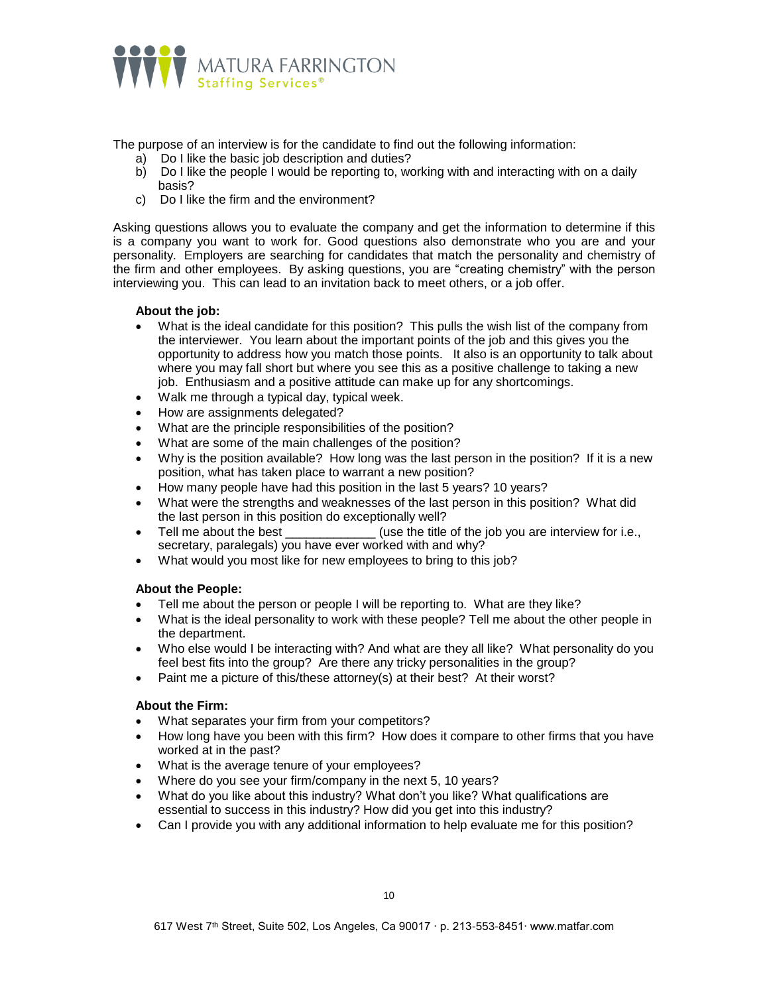

The purpose of an interview is for the candidate to find out the following information:

- a) Do I like the basic job description and duties?
- b) Do I like the people I would be reporting to, working with and interacting with on a daily basis?
- c) Do I like the firm and the environment?

Asking questions allows you to evaluate the company and get the information to determine if this is a company you want to work for. Good questions also demonstrate who you are and your personality. Employers are searching for candidates that match the personality and chemistry of the firm and other employees. By asking questions, you are "creating chemistry" with the person interviewing you. This can lead to an invitation back to meet others, or a job offer.

### **About the job:**

- What is the ideal candidate for this position? This pulls the wish list of the company from the interviewer. You learn about the important points of the job and this gives you the opportunity to address how you match those points. It also is an opportunity to talk about where you may fall short but where you see this as a positive challenge to taking a new job. Enthusiasm and a positive attitude can make up for any shortcomings.
- Walk me through a typical day, typical week.
- How are assignments delegated?
- What are the principle responsibilities of the position?
- What are some of the main challenges of the position?
- Why is the position available? How long was the last person in the position? If it is a new position, what has taken place to warrant a new position?
- How many people have had this position in the last 5 years? 10 years?
- What were the strengths and weaknesses of the last person in this position? What did the last person in this position do exceptionally well?
- Tell me about the best \_\_\_\_\_\_\_\_\_\_\_\_\_(use the title of the job you are interview for i.e., secretary, paralegals) you have ever worked with and why?
- What would you most like for new employees to bring to this job?

### **About the People:**

- Tell me about the person or people I will be reporting to. What are they like?
- What is the ideal personality to work with these people? Tell me about the other people in the department.
- Who else would I be interacting with? And what are they all like? What personality do you feel best fits into the group? Are there any tricky personalities in the group?
- Paint me a picture of this/these attorney(s) at their best? At their worst?

### **About the Firm:**

- What separates your firm from your competitors?
- How long have you been with this firm? How does it compare to other firms that you have worked at in the past?
- What is the average tenure of your employees?
- Where do you see your firm/company in the next 5, 10 years?
- What do you like about this industry? What don't you like? What qualifications are essential to success in this industry? How did you get into this industry?
- Can I provide you with any additional information to help evaluate me for this position?